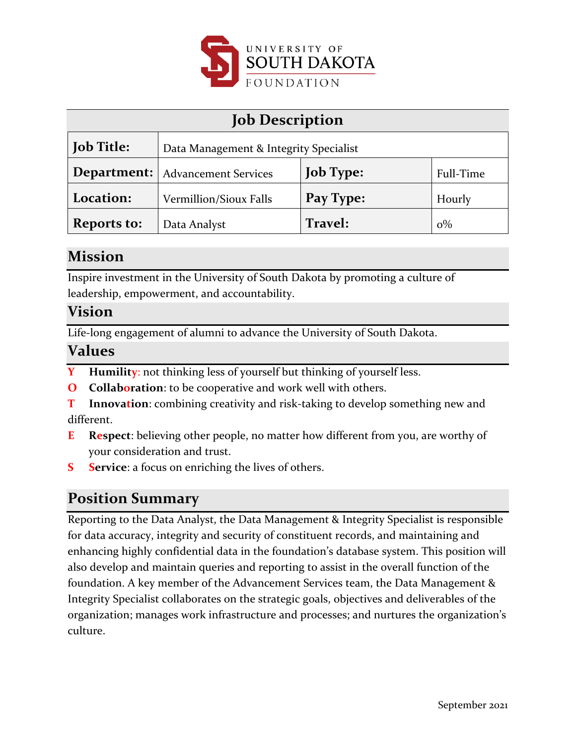

| <b>Job Description</b> |                                           |                  |           |
|------------------------|-------------------------------------------|------------------|-----------|
| <b>Job Title:</b>      | Data Management & Integrity Specialist    |                  |           |
|                        | <b>Department:</b>   Advancement Services | <b>Job Type:</b> | Full-Time |
| Location:              | Vermillion/Sioux Falls                    | Pay Type:        | Hourly    |
| <b>Reports to:</b>     | Data Analyst                              | Travel:          | $0\%$     |

### **Mission**

Inspire investment in the University of South Dakota by promoting a culture of leadership, empowerment, and accountability.

### **Vision**

Life-long engagement of alumni to advance the University of South Dakota.

### **Values**

- **Y Humility**: not thinking less of yourself but thinking of yourself less.
- **O Collaboration**: to be cooperative and work well with others.
- **T Innovation**: combining creativity and risk-taking to develop something new and different.
- **E Respect**: believing other people, no matter how different from you, are worthy of your consideration and trust.
- **S Service**: a focus on enriching the lives of others.

### **Position Summary**

Reporting to the Data Analyst, the Data Management & Integrity Specialist is responsible for data accuracy, integrity and security of constituent records, and maintaining and enhancing highly confidential data in the foundation's database system. This position will also develop and maintain queries and reporting to assist in the overall function of the foundation. A key member of the Advancement Services team, the Data Management & Integrity Specialist collaborates on the strategic goals, objectives and deliverables of the organization; manages work infrastructure and processes; and nurtures the organization's culture.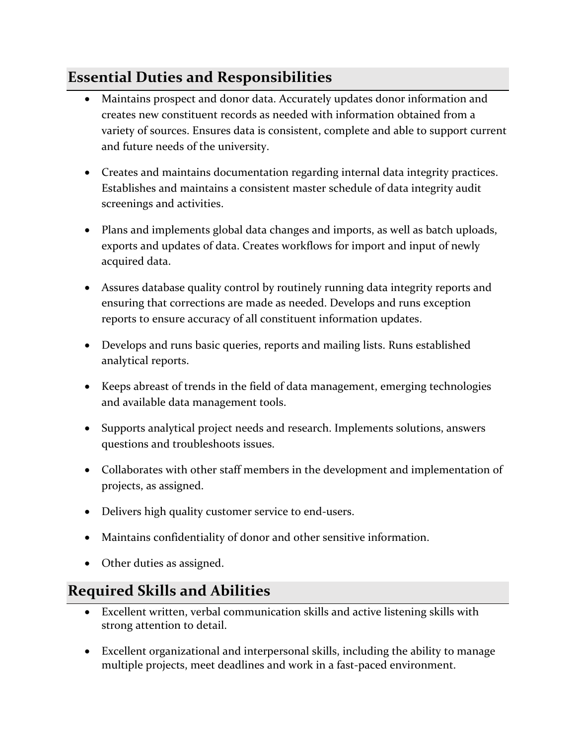# **Essential Duties and Responsibilities**

- Maintains prospect and donor data. Accurately updates donor information and creates new constituent records as needed with information obtained from a variety of sources. Ensures data is consistent, complete and able to support current and future needs of the university.
- Creates and maintains documentation regarding internal data integrity practices. Establishes and maintains a consistent master schedule of data integrity audit screenings and activities.
- Plans and implements global data changes and imports, as well as batch uploads, exports and updates of data. Creates workflows for import and input of newly acquired data.
- Assures database quality control by routinely running data integrity reports and ensuring that corrections are made as needed. Develops and runs exception reports to ensure accuracy of all constituent information updates.
- Develops and runs basic queries, reports and mailing lists. Runs established analytical reports.
- Keeps abreast of trends in the field of data management, emerging technologies and available data management tools.
- Supports analytical project needs and research. Implements solutions, answers questions and troubleshoots issues.
- Collaborates with other staff members in the development and implementation of projects, as assigned.
- Delivers high quality customer service to end-users.
- Maintains confidentiality of donor and other sensitive information.
- Other duties as assigned.

# **Required Skills and Abilities**

- Excellent written, verbal communication skills and active listening skills with strong attention to detail.
- Excellent organizational and interpersonal skills, including the ability to manage multiple projects, meet deadlines and work in a fast-paced environment.